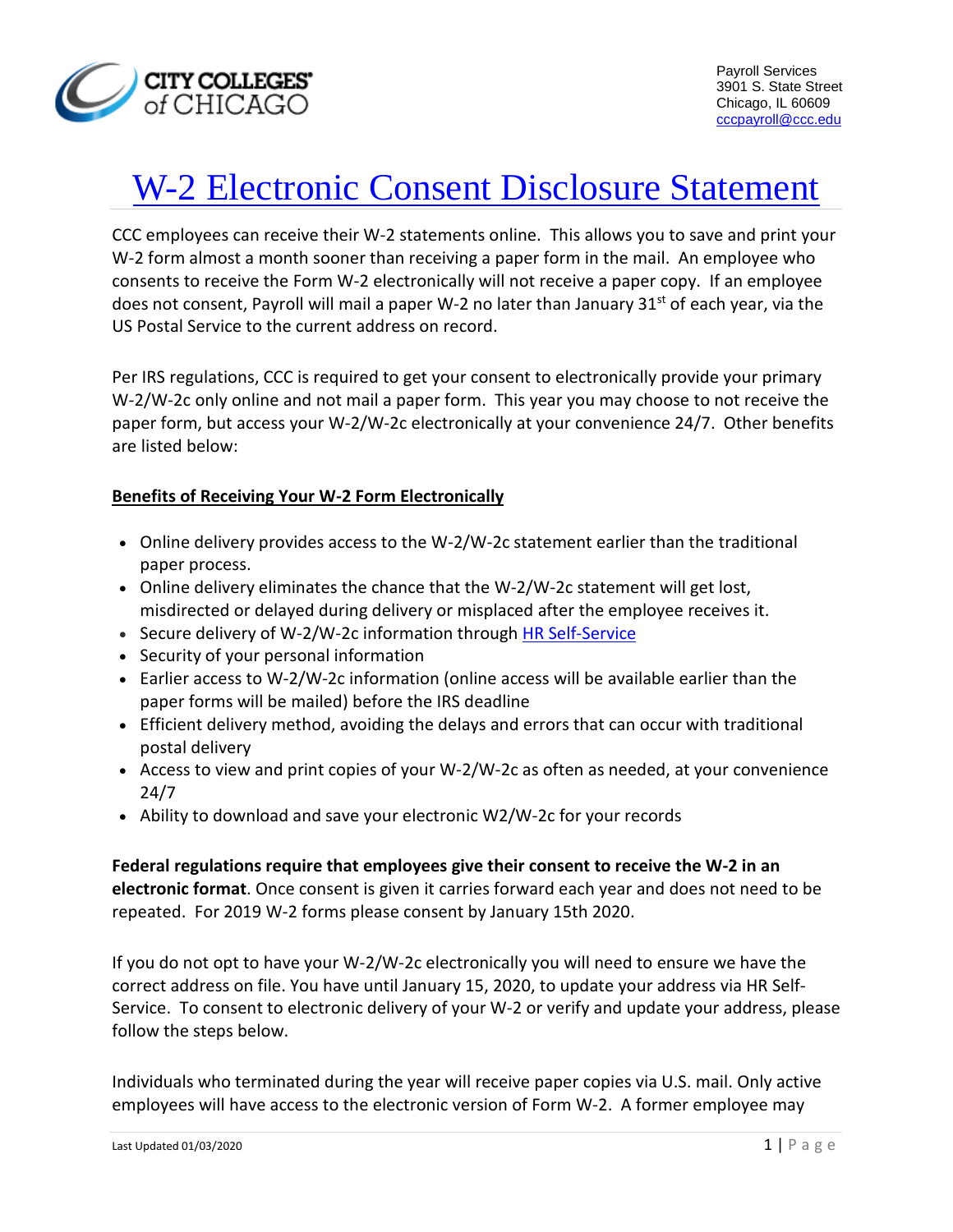

# W-2 Electronic Consent Disclosure Statement

CCC employees can receive their W-2 statements online. This allows you to save and print your W-2 form almost a month sooner than receiving a paper form in the mail. An employee who consents to receive the Form W-2 electronically will not receive a paper copy. If an employee does not consent, Payroll will mail a paper W-2 no later than January  $31^{st}$  of each year, via the US Postal Service to the current address on record.

Per IRS regulations, CCC is required to get your consent to electronically provide your primary W-2/W-2c only online and not mail a paper form. This year you may choose to not receive the paper form, but access your W-2/W-2c electronically at your convenience 24/7. Other benefits are listed below:

## **Benefits of Receiving Your W-2 Form Electronically**

- Online delivery provides access to the W-2/W-2c statement earlier than the traditional paper process.
- Online delivery eliminates the chance that the W-2/W-2c statement will get lost, misdirected or delayed during delivery or misplaced after the employee receives it.
- Secure delivery of W-2/W-2c information through [HR Self-Service](http://www.ccc.edu/menu/Pages/HR-Self-Service.aspx)
- Security of your personal information
- Earlier access to W-2/W-2c information (online access will be available earlier than the paper forms will be mailed) before the IRS deadline
- Efficient delivery method, avoiding the delays and errors that can occur with traditional postal delivery
- Access to view and print copies of your W-2/W-2c as often as needed, at your convenience 24/7
- Ability to download and save your electronic W2/W-2c for your records

**Federal regulations require that employees give their consent to receive the W-2 in an electronic format**. Once consent is given it carries forward each year and does not need to be repeated. For 2019 W-2 forms please consent by January 15th 2020.

If you do not opt to have your W-2/W-2c electronically you will need to ensure we have the correct address on file. You have until January 15, 2020, to update your address via HR Self-Service. To consent to electronic delivery of your W-2 or verify and update your address, please follow the steps below.

Individuals who terminated during the year will receive paper copies via U.S. mail. Only active employees will have access to the electronic version of Form W-2. A former employee may